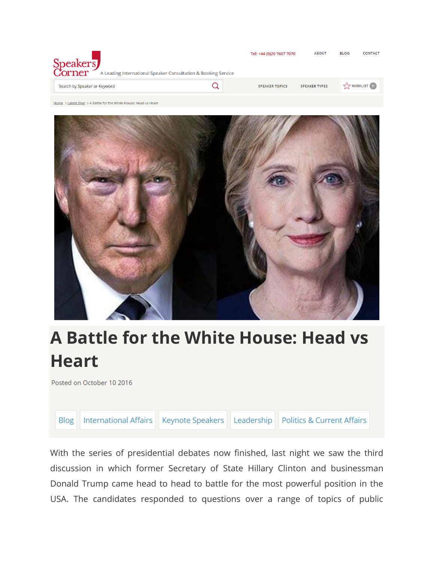| Speakers<br>A Leading International Speaker Consultation & Booking Service | Tel: +44 (0)20 7607 7070 | <b>ABOUT</b>         | <b>BLOG</b>      | <b>CONTACT</b> |
|----------------------------------------------------------------------------|--------------------------|----------------------|------------------|----------------|
| Search by Speaker or Keyword                                               | <b>SPEAKER TOPICS</b>    | <b>SPEAKER TYPES</b> | $5.7$ WISHLIST 0 |                |

Home > Latest Blog > A Battle for the White House: Head vs Heart



## **A Battle for the White House: Head vs Heart**

Posted on October 10 2016

International Affairs | Keynote Speakers | Leadership | Politics & Current Affairs **Blog** 

With the series of presidential debates now finished, last night we saw the third discussion in which former Secretary of State Hillary Clinton and businessman Donald Trump came head to head to battle for the most powerful position in the USA. The candidates responded to questions over a range of topics of public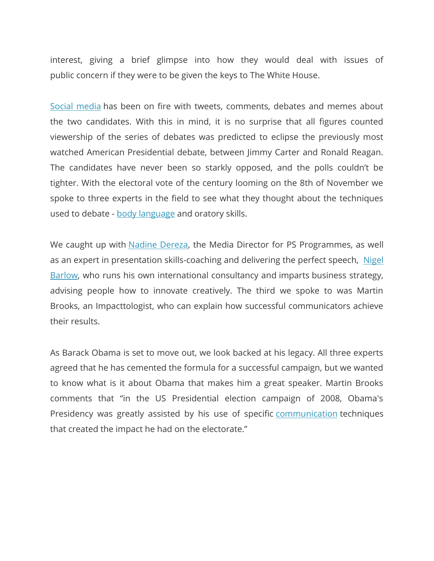interest, giving a brief glimpse into how they would deal with issues of public concern if they were to be given the keys to The White House.

[Social media](https://www.speakerscorner.co.uk/search-results?keywords=social+media&only_speakers=1) has been on fire with tweets, comments, debates and memes about the two candidates. With this in mind, it is no surprise that all figures counted viewership of the series of debates was predicted to eclipse the previously most watched American Presidential debate, between Jimmy Carter and Ronald Reagan. The candidates have never been so starkly opposed, and the polls couldn't be tighter. With the electoral vote of the century looming on the 8th of November we spoke to three experts in the field to see what they thought about the techniques used to debate - [body language](https://www.speakerscorner.co.uk/search-results?keywords=body+language&only_speakers=1) and oratory skills.

We caught up with **Nadine Dereza**, the Media Director for PS Programmes, as well as an expert in presentation skills-coaching and delivering the perfect speech, Nigel [Barlow,](https://www.speakerscorner.co.uk/speaker/nigel-barlow) who runs his own international consultancy and imparts business strategy, advising people how to innovate creatively. The third we spoke to was Martin Brooks, an Impacttologist, who can explain how successful communicators achieve their results.

As Barack Obama is set to move out, we look backed at his legacy. All three experts agreed that he has cemented the formula for a successful campaign, but we wanted to know what is it about Obama that makes him a great speaker. Martin Brooks comments that "in the US Presidential election campaign of 2008, Obama's Presidency was greatly assisted by his use of specific [communication](https://www.speakerscorner.co.uk/search-results?keywords=communication&only_speakers=1) techniques that created the impact he had on the electorate."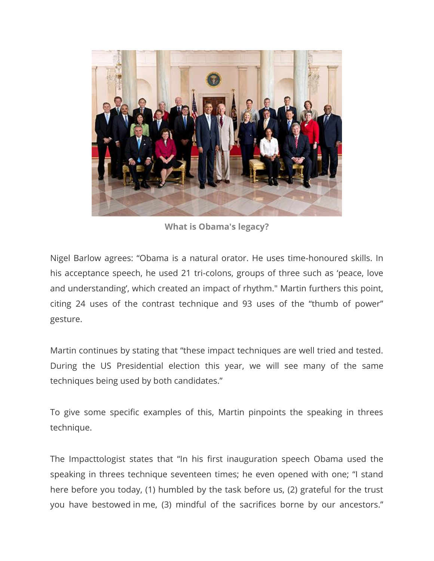

**What is Obama's legacy?**

Nigel Barlow agrees: "Obama is a natural orator. He uses time-honoured skills. In his acceptance speech, he used 21 tri-colons, groups of three such as 'peace, love and understanding', which created an impact of rhythm." Martin furthers this point, citing 24 uses of the contrast technique and 93 uses of the "thumb of power" gesture.

Martin continues by stating that "these impact techniques are well tried and tested. During the US Presidential election this year, we will see many of the same techniques being used by both candidates."

To give some specific examples of this, Martin pinpoints the speaking in threes technique.

The Impacttologist states that "In his first inauguration speech Obama used the speaking in threes technique seventeen times; he even opened with one; "I stand here before you today, (1) humbled by the task before us, (2) grateful for the trust you have bestowed in me, (3) mindful of the sacrifices borne by our ancestors."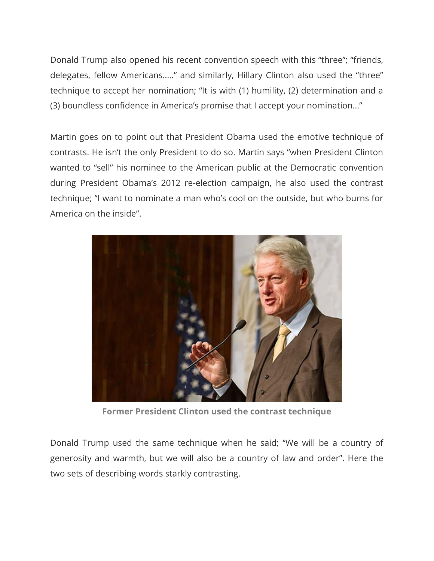Donald Trump also opened his recent convention speech with this "three"; "friends, delegates, fellow Americans….." and similarly, Hillary Clinton also used the "three" technique to accept her nomination; "It is with (1) humility, (2) determination and a (3) boundless confidence in America's promise that I accept your nomination…"

Martin goes on to point out that President Obama used the emotive technique of contrasts. He isn't the only President to do so. Martin says "when President Clinton wanted to "sell" his nominee to the American public at the Democratic convention during President Obama's 2012 re-election campaign, he also used the contrast technique; "I want to nominate a man who's cool on the outside, but who burns for America on the inside".



**Former President Clinton used the contrast technique**

Donald Trump used the same technique when he said; "We will be a country of generosity and warmth, but we will also be a country of law and order". Here the two sets of describing words starkly contrasting.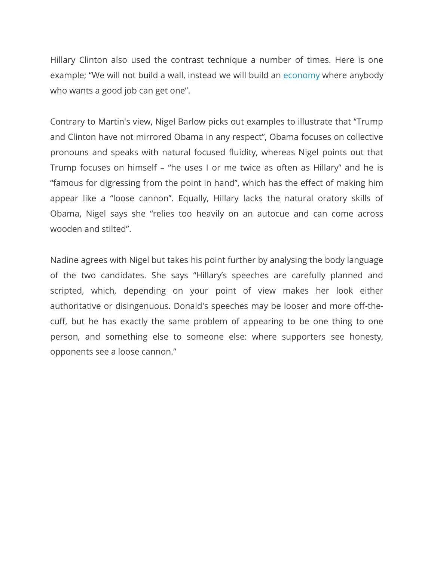Hillary Clinton also used the contrast technique a number of times. Here is one example; "We will not build a wall, instead we will build an [economy](https://www.speakerscorner.co.uk/listing/finance-economics) where anybody who wants a good job can get one".

Contrary to Martin's view, Nigel Barlow picks out examples to illustrate that "Trump and Clinton have not mirrored Obama in any respect", Obama focuses on collective pronouns and speaks with natural focused fluidity, whereas Nigel points out that Trump focuses on himself – "he uses I or me twice as often as Hillary" and he is "famous for digressing from the point in hand", which has the effect of making him appear like a "loose cannon". Equally, Hillary lacks the natural oratory skills of Obama, Nigel says she "relies too heavily on an autocue and can come across wooden and stilted".

Nadine agrees with Nigel but takes his point further by analysing the body language of the two candidates. She says "Hillary's speeches are carefully planned and scripted, which, depending on your point of view makes her look either authoritative or disingenuous. Donald's speeches may be looser and more off-thecuff, but he has exactly the same problem of appearing to be one thing to one person, and something else to someone else: where supporters see honesty, opponents see a loose cannon."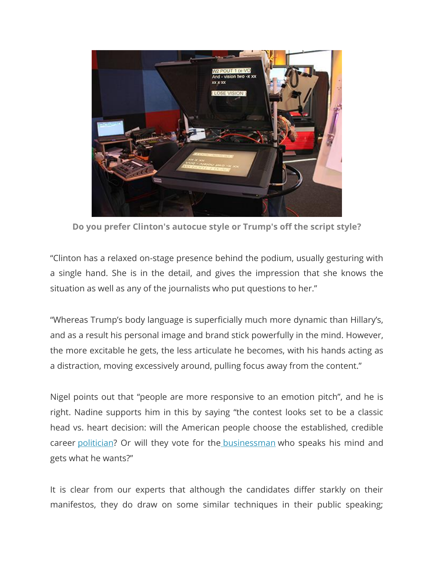

**Do you prefer Clinton's autocue style or Trump's off the script style?**

"Clinton has a relaxed on-stage presence behind the podium, usually gesturing with a single hand. She is in the detail, and gives the impression that she knows the situation as well as any of the journalists who put questions to her."

"Whereas Trump's body language is superficially much more dynamic than Hillary's, and as a result his personal image and brand stick powerfully in the mind. However, the more excitable he gets, the less articulate he becomes, with his hands acting as a distraction, moving excessively around, pulling focus away from the content."

Nigel points out that "people are more responsive to an emotion pitch", and he is right. Nadine supports him in this by saying "the contest looks set to be a classic head vs. heart decision: will the American people choose the established, credible career [politician?](https://www.speakerscorner.co.uk/listing/politics-current-affairs) Or will they vote for the [businessman](https://www.speakerscorner.co.uk/listing/business-speakers) who speaks his mind and gets what he wants?"

It is clear from our experts that although the candidates differ starkly on their manifestos, they do draw on some similar techniques in their public speaking;